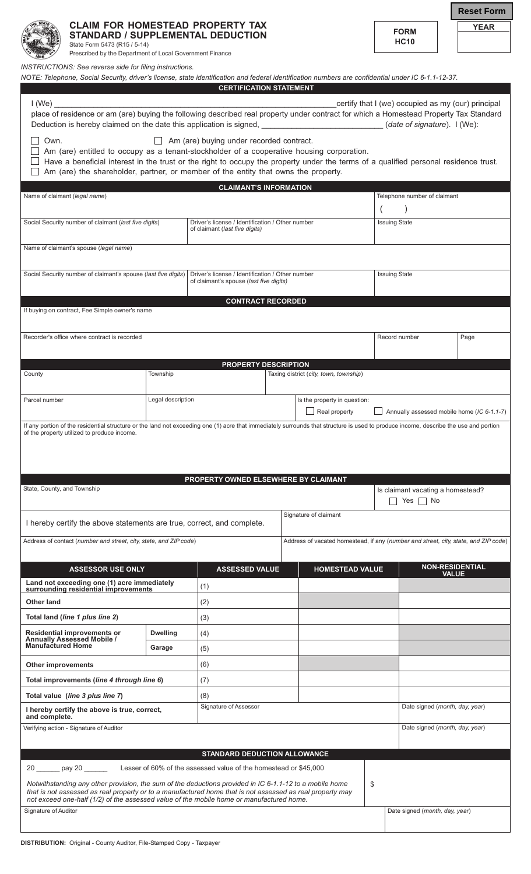

**CLAIM FOR HOMESTEAD PROPERTY TAX STANDARD / SUPPLEMENTAL DEDUCTION** State Form 5473 (R15 / 5-14)

Prescribed by the Department of Local Government Finance

*INSTRUCTIONS: See reverse side for filing instructions.*

*NOTE: Telephone, Social Security, driver's license, state identification and federal identification numbers are confidential under IC 6-1.1-12-37.*

**FORM HC10**

**YEAR**

**Reset Form**

|                                                                                                                                                                                                                                                                                                                                                                                    |                   | <b>CERTIFICATION STATEMENT</b>                                                              |                                               |                                                                                     |                                                           |                                            |              |                        |  |
|------------------------------------------------------------------------------------------------------------------------------------------------------------------------------------------------------------------------------------------------------------------------------------------------------------------------------------------------------------------------------------|-------------------|---------------------------------------------------------------------------------------------|-----------------------------------------------|-------------------------------------------------------------------------------------|-----------------------------------------------------------|--------------------------------------------|--------------|------------------------|--|
| certify that I (we) occupied as my (our) principal<br>I(We)                                                                                                                                                                                                                                                                                                                        |                   |                                                                                             |                                               |                                                                                     |                                                           |                                            |              |                        |  |
| place of residence or am (are) buying the following described real property under contract for which a Homestead Property Tax Standard<br>Deduction is hereby claimed on the date this application is signed, _____________________________(date of signature). I (We):                                                                                                            |                   |                                                                                             |                                               |                                                                                     |                                                           |                                            |              |                        |  |
| Own.<br>$\Box$ Am (are) buying under recorded contract.<br>Am (are) entitled to occupy as a tenant-stockholder of a cooperative housing corporation.<br>Have a beneficial interest in the trust or the right to occupy the property under the terms of a qualified personal residence trust.<br>Am (are) the shareholder, partner, or member of the entity that owns the property. |                   |                                                                                             |                                               |                                                                                     |                                                           |                                            |              |                        |  |
| <b>CLAIMANT'S INFORMATION</b>                                                                                                                                                                                                                                                                                                                                                      |                   |                                                                                             |                                               |                                                                                     |                                                           |                                            |              |                        |  |
| Name of claimant (legal name)                                                                                                                                                                                                                                                                                                                                                      |                   |                                                                                             |                                               |                                                                                     | Telephone number of claimant                              |                                            |              |                        |  |
|                                                                                                                                                                                                                                                                                                                                                                                    |                   |                                                                                             |                                               | $\left($                                                                            |                                                           |                                            |              |                        |  |
| Social Security number of claimant (last five digits)                                                                                                                                                                                                                                                                                                                              |                   | Driver's license / Identification / Other number<br>of claimant (last five digits)          |                                               |                                                                                     |                                                           | <b>Issuing State</b>                       |              |                        |  |
| Name of claimant's spouse (legal name)                                                                                                                                                                                                                                                                                                                                             |                   |                                                                                             |                                               |                                                                                     |                                                           |                                            |              |                        |  |
| Social Security number of claimant's spouse (last five digits)                                                                                                                                                                                                                                                                                                                     |                   | Driver's license / Identification / Other number<br>of claimant's spouse (last five digits) |                                               |                                                                                     |                                                           | <b>Issuing State</b>                       |              |                        |  |
|                                                                                                                                                                                                                                                                                                                                                                                    |                   | <b>CONTRACT RECORDED</b>                                                                    |                                               |                                                                                     |                                                           |                                            |              |                        |  |
| If buying on contract, Fee Simple owner's name                                                                                                                                                                                                                                                                                                                                     |                   |                                                                                             |                                               |                                                                                     |                                                           |                                            |              |                        |  |
| Recorder's office where contract is recorded                                                                                                                                                                                                                                                                                                                                       |                   |                                                                                             |                                               |                                                                                     | Record number                                             |                                            | Page         |                        |  |
|                                                                                                                                                                                                                                                                                                                                                                                    |                   | <b>PROPERTY DESCRIPTION</b>                                                                 |                                               |                                                                                     |                                                           |                                            |              |                        |  |
| County                                                                                                                                                                                                                                                                                                                                                                             | Township          |                                                                                             |                                               | Taxing district (city, town, township)                                              |                                                           |                                            |              |                        |  |
| Parcel number                                                                                                                                                                                                                                                                                                                                                                      | Legal description |                                                                                             | Is the property in question:<br>Real property |                                                                                     |                                                           | Annually assessed mobile home (IC 6-1.1-7) |              |                        |  |
| of the property utilized to produce income.<br>PROPERTY OWNED ELSEWHERE BY CLAIMANT                                                                                                                                                                                                                                                                                                |                   |                                                                                             |                                               |                                                                                     |                                                           |                                            |              |                        |  |
| State, County, and Township                                                                                                                                                                                                                                                                                                                                                        |                   |                                                                                             |                                               |                                                                                     | Is claimant vacating a homestead?<br>$\Box$ Yes $\Box$ No |                                            |              |                        |  |
| Signature of claimant<br>I hereby certify the above statements are true, correct, and complete.                                                                                                                                                                                                                                                                                    |                   |                                                                                             |                                               |                                                                                     |                                                           |                                            |              |                        |  |
| Address of contact (number and street, city, state, and ZIP code)                                                                                                                                                                                                                                                                                                                  |                   |                                                                                             |                                               | Address of vacated homestead, if any (number and street, city, state, and ZIP code) |                                                           |                                            |              |                        |  |
| <b>ASSESSOR USE ONLY</b>                                                                                                                                                                                                                                                                                                                                                           |                   | <b>ASSESSED VALUE</b>                                                                       |                                               | <b>HOMESTEAD VALUE</b>                                                              |                                                           |                                            |              | <b>NON-RESIDENTIAL</b> |  |
| Land not exceeding one (1) acre immediately<br>surrounding residential improvements                                                                                                                                                                                                                                                                                                |                   | (1)                                                                                         |                                               |                                                                                     |                                                           |                                            | <b>VALUE</b> |                        |  |
| <b>Other land</b>                                                                                                                                                                                                                                                                                                                                                                  |                   | (2)                                                                                         |                                               |                                                                                     |                                                           |                                            |              |                        |  |
| Total land (line 1 plus line 2)                                                                                                                                                                                                                                                                                                                                                    |                   | (3)                                                                                         |                                               |                                                                                     |                                                           |                                            |              |                        |  |
| Residential improvements or                                                                                                                                                                                                                                                                                                                                                        | <b>Dwelling</b>   | (4)                                                                                         |                                               |                                                                                     |                                                           |                                            |              |                        |  |
| <b>Annually Assessed Mobile /</b><br><b>Manufactured Home</b>                                                                                                                                                                                                                                                                                                                      | Garage            | (5)                                                                                         |                                               |                                                                                     |                                                           |                                            |              |                        |  |
| <b>Other improvements</b>                                                                                                                                                                                                                                                                                                                                                          |                   | (6)                                                                                         |                                               |                                                                                     |                                                           |                                            |              |                        |  |
| Total improvements (line 4 through line 6)                                                                                                                                                                                                                                                                                                                                         |                   | (7)                                                                                         |                                               |                                                                                     |                                                           |                                            |              |                        |  |
| Total value (line 3 plus line 7)                                                                                                                                                                                                                                                                                                                                                   |                   | (8)                                                                                         |                                               |                                                                                     |                                                           |                                            |              |                        |  |
| I hereby certify the above is true, correct,<br>and complete.                                                                                                                                                                                                                                                                                                                      |                   | Signature of Assessor                                                                       |                                               |                                                                                     |                                                           | Date signed (month, day, year)             |              |                        |  |
| Verifying action - Signature of Auditor                                                                                                                                                                                                                                                                                                                                            |                   |                                                                                             |                                               |                                                                                     |                                                           | Date signed (month, day, year)             |              |                        |  |
| <b>STANDARD DEDUCTION ALLOWANCE</b>                                                                                                                                                                                                                                                                                                                                                |                   |                                                                                             |                                               |                                                                                     |                                                           |                                            |              |                        |  |
| 20 pay 20<br>Lesser of 60% of the assessed value of the homestead or \$45,000                                                                                                                                                                                                                                                                                                      |                   |                                                                                             |                                               |                                                                                     |                                                           |                                            |              |                        |  |
| \$<br>Notwithstanding any other provision, the sum of the deductions provided in IC 6-1.1-12 to a mobile home<br>that is not assessed as real property or to a manufactured home that is not assessed as real property may<br>not exceed one-half (1/2) of the assessed value of the mobile home or manufactured home.                                                             |                   |                                                                                             |                                               |                                                                                     |                                                           |                                            |              |                        |  |
| Date signed (month, day, year)<br>Signature of Auditor                                                                                                                                                                                                                                                                                                                             |                   |                                                                                             |                                               |                                                                                     |                                                           |                                            |              |                        |  |
|                                                                                                                                                                                                                                                                                                                                                                                    |                   |                                                                                             |                                               |                                                                                     |                                                           |                                            |              |                        |  |